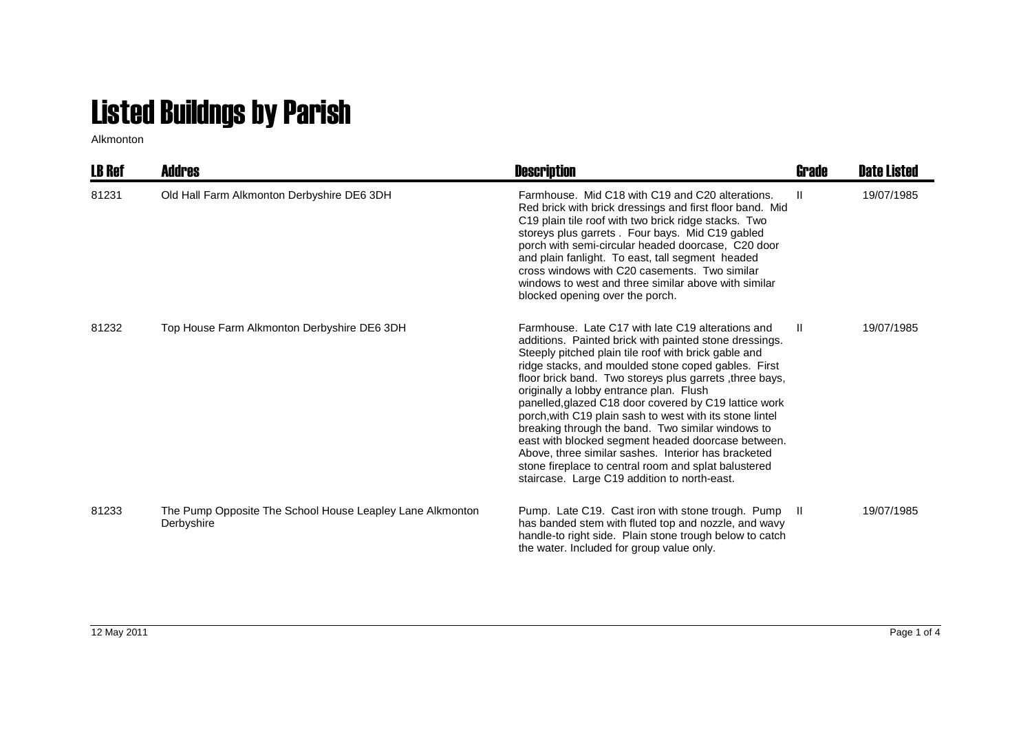## Listed Buildngs by Parish

Alkmonton

| <b>LB Ref</b> | Addres                                                                  | <b>Description</b>                                                                                                                                                                                                                                                                                                                                                                                                                                                                                                                                                                                                                                                                                                              | Grade | <b>Date Listed</b> |
|---------------|-------------------------------------------------------------------------|---------------------------------------------------------------------------------------------------------------------------------------------------------------------------------------------------------------------------------------------------------------------------------------------------------------------------------------------------------------------------------------------------------------------------------------------------------------------------------------------------------------------------------------------------------------------------------------------------------------------------------------------------------------------------------------------------------------------------------|-------|--------------------|
| 81231         | Old Hall Farm Alkmonton Derbyshire DE6 3DH                              | Farmhouse. Mid C18 with C19 and C20 alterations.<br>Red brick with brick dressings and first floor band. Mid<br>C19 plain tile roof with two brick ridge stacks. Two<br>storeys plus garrets . Four bays. Mid C19 gabled<br>porch with semi-circular headed doorcase, C20 door<br>and plain fanlight. To east, tall segment headed<br>cross windows with C20 casements. Two similar<br>windows to west and three similar above with similar<br>blocked opening over the porch.                                                                                                                                                                                                                                                  | H.    | 19/07/1985         |
| 81232         | Top House Farm Alkmonton Derbyshire DE6 3DH                             | Farmhouse. Late C17 with late C19 alterations and<br>additions. Painted brick with painted stone dressings.<br>Steeply pitched plain tile roof with brick gable and<br>ridge stacks, and moulded stone coped gables. First<br>floor brick band. Two storeys plus garrets, three bays,<br>originally a lobby entrance plan. Flush<br>panelled, glazed C18 door covered by C19 lattice work<br>porch, with C19 plain sash to west with its stone lintel<br>breaking through the band. Two similar windows to<br>east with blocked segment headed doorcase between.<br>Above, three similar sashes. Interior has bracketed<br>stone fireplace to central room and splat balustered<br>staircase. Large C19 addition to north-east. | H.    | 19/07/1985         |
| 81233         | The Pump Opposite The School House Leapley Lane Alkmonton<br>Derbyshire | Pump. Late C19. Cast iron with stone trough. Pump<br>has banded stem with fluted top and nozzle, and wavy<br>handle-to right side. Plain stone trough below to catch<br>the water. Included for group value only.                                                                                                                                                                                                                                                                                                                                                                                                                                                                                                               | - II  | 19/07/1985         |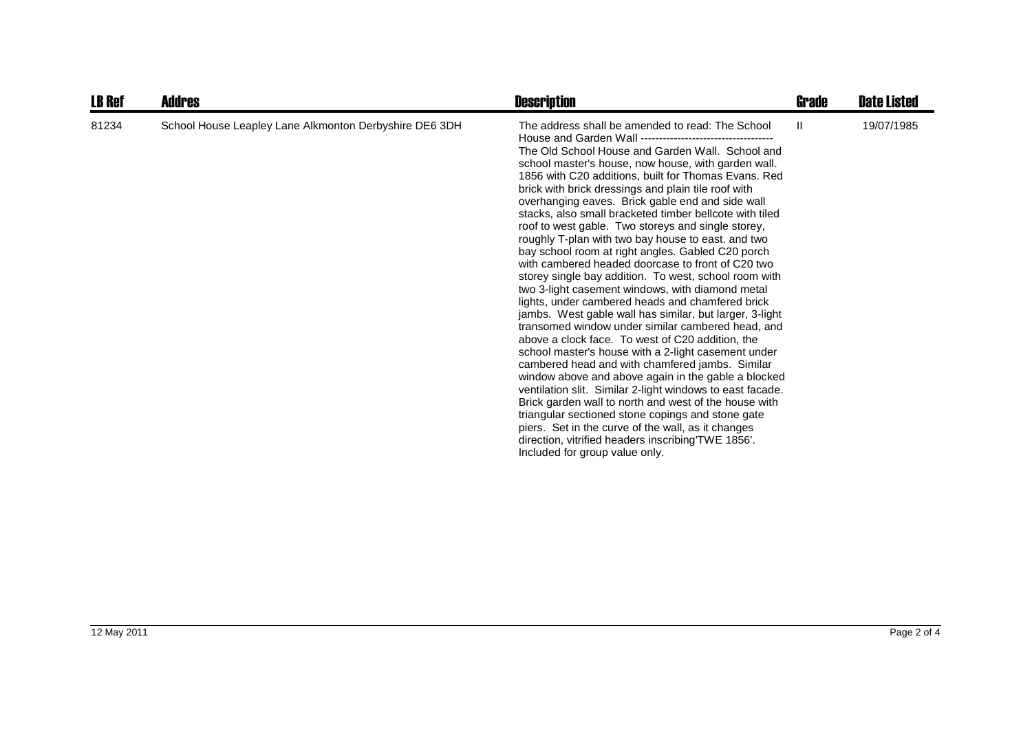| <b>LB Ref</b> | <b>Addres</b>                                          | <b>Description</b>                                                                                                                                                                                                                                                                                                                                                                                                                                                                                                                                                                                                                                                                                                                                                                                                                                                                                                                                                                                                                                                                                                                                                                                                                                                                                                                                                                                                                             | Grade | <b>Date Listed</b> |
|---------------|--------------------------------------------------------|------------------------------------------------------------------------------------------------------------------------------------------------------------------------------------------------------------------------------------------------------------------------------------------------------------------------------------------------------------------------------------------------------------------------------------------------------------------------------------------------------------------------------------------------------------------------------------------------------------------------------------------------------------------------------------------------------------------------------------------------------------------------------------------------------------------------------------------------------------------------------------------------------------------------------------------------------------------------------------------------------------------------------------------------------------------------------------------------------------------------------------------------------------------------------------------------------------------------------------------------------------------------------------------------------------------------------------------------------------------------------------------------------------------------------------------------|-------|--------------------|
| 81234         | School House Leapley Lane Alkmonton Derbyshire DE6 3DH | The address shall be amended to read: The School<br>The Old School House and Garden Wall. School and<br>school master's house, now house, with garden wall.<br>1856 with C20 additions, built for Thomas Evans. Red<br>brick with brick dressings and plain tile roof with<br>overhanging eaves. Brick gable end and side wall<br>stacks, also small bracketed timber bellcote with tiled<br>roof to west gable. Two storeys and single storey,<br>roughly T-plan with two bay house to east. and two<br>bay school room at right angles. Gabled C20 porch<br>with cambered headed doorcase to front of C20 two<br>storey single bay addition. To west, school room with<br>two 3-light casement windows, with diamond metal<br>lights, under cambered heads and chamfered brick<br>jambs. West gable wall has similar, but larger, 3-light<br>transomed window under similar cambered head, and<br>above a clock face. To west of C20 addition, the<br>school master's house with a 2-light casement under<br>cambered head and with chamfered jambs. Similar<br>window above and above again in the gable a blocked<br>ventilation slit. Similar 2-light windows to east facade.<br>Brick garden wall to north and west of the house with<br>triangular sectioned stone copings and stone gate<br>piers. Set in the curve of the wall, as it changes<br>direction, vitrified headers inscribing TWE 1856'.<br>Included for group value only. | Ш     | 19/07/1985         |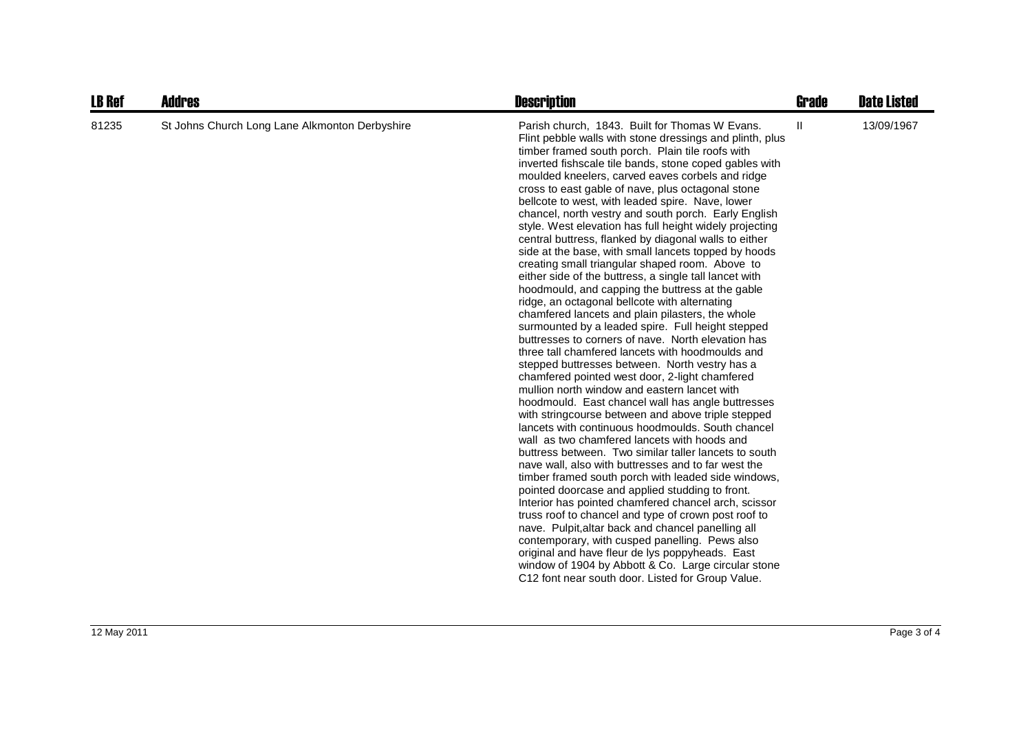| <b>LB Ref</b> | <b>Addres</b>                                  | <b>Description</b>                                                                                                                                                                                                                                                                                                                                                                                                                                                                                                                                                                                                                                                                                                                                                                                                                                                                                                                                                                                                                                                                                                                                                                                                                                                                                                                                                                                                                                                                                                                                                                                                                                                                                                                                                                                                                                                                                                                                                                                                                                  | <b>Grade</b> | <b>Date Listed</b> |
|---------------|------------------------------------------------|-----------------------------------------------------------------------------------------------------------------------------------------------------------------------------------------------------------------------------------------------------------------------------------------------------------------------------------------------------------------------------------------------------------------------------------------------------------------------------------------------------------------------------------------------------------------------------------------------------------------------------------------------------------------------------------------------------------------------------------------------------------------------------------------------------------------------------------------------------------------------------------------------------------------------------------------------------------------------------------------------------------------------------------------------------------------------------------------------------------------------------------------------------------------------------------------------------------------------------------------------------------------------------------------------------------------------------------------------------------------------------------------------------------------------------------------------------------------------------------------------------------------------------------------------------------------------------------------------------------------------------------------------------------------------------------------------------------------------------------------------------------------------------------------------------------------------------------------------------------------------------------------------------------------------------------------------------------------------------------------------------------------------------------------------------|--------------|--------------------|
| 81235         | St Johns Church Long Lane Alkmonton Derbyshire | Parish church, 1843. Built for Thomas W Evans.<br>Flint pebble walls with stone dressings and plinth, plus<br>timber framed south porch. Plain tile roofs with<br>inverted fishscale tile bands, stone coped gables with<br>moulded kneelers, carved eaves corbels and ridge<br>cross to east gable of nave, plus octagonal stone<br>bellcote to west, with leaded spire. Nave, lower<br>chancel, north vestry and south porch. Early English<br>style. West elevation has full height widely projecting<br>central buttress, flanked by diagonal walls to either<br>side at the base, with small lancets topped by hoods<br>creating small triangular shaped room. Above to<br>either side of the buttress, a single tall lancet with<br>hoodmould, and capping the buttress at the gable<br>ridge, an octagonal bellcote with alternating<br>chamfered lancets and plain pilasters, the whole<br>surmounted by a leaded spire. Full height stepped<br>buttresses to corners of nave. North elevation has<br>three tall chamfered lancets with hoodmoulds and<br>stepped buttresses between. North vestry has a<br>chamfered pointed west door, 2-light chamfered<br>mullion north window and eastern lancet with<br>hoodmould. East chancel wall has angle buttresses<br>with stringcourse between and above triple stepped<br>lancets with continuous hoodmoulds. South chancel<br>wall as two chamfered lancets with hoods and<br>buttress between. Two similar taller lancets to south<br>nave wall, also with buttresses and to far west the<br>timber framed south porch with leaded side windows,<br>pointed doorcase and applied studding to front.<br>Interior has pointed chamfered chancel arch, scissor<br>truss roof to chancel and type of crown post roof to<br>nave. Pulpit, altar back and chancel panelling all<br>contemporary, with cusped panelling. Pews also<br>original and have fleur de lys poppyheads. East<br>window of 1904 by Abbott & Co. Large circular stone<br>C12 font near south door. Listed for Group Value. | Ш.           | 13/09/1967         |